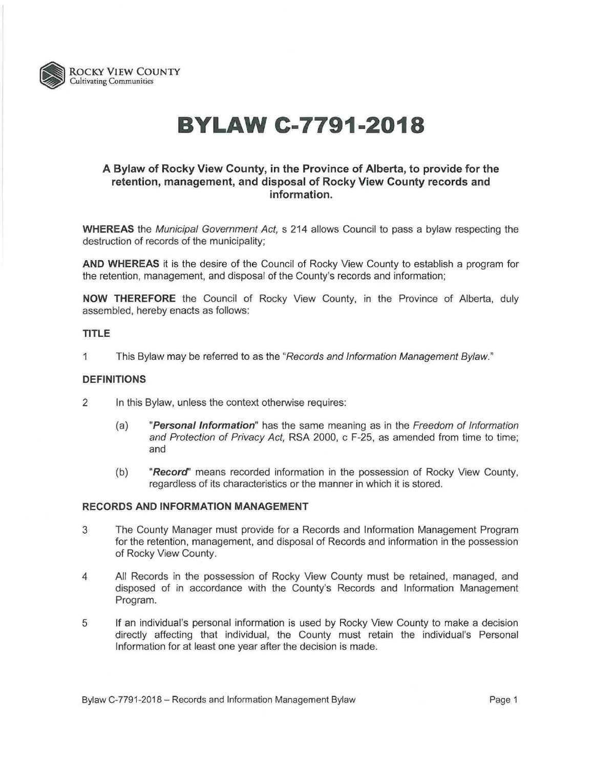

# **BYLAW C-7791-2018**

## **A Bylaw of Rocky View County, in the Province of Alberta, to provide for the retention, management, and disposal of Rocky View County records and information.**

**WHEREAS** the Municipal Government Act, s 214 allows Council to pass a bylaw respecting the destruction of records of the municipality;

**AND WHEREAS** it is the desire of the Council of Rocky View County to establish a program for the retention, management, and disposal of the County's records and information;

**NOW THEREFORE** the Council of Rocky View County, in the Province of Alberta, duly assembled, hereby enacts as follows:

#### **TITLE**

1 This Bylaw may be referred to as the "Records and Information Management Bylaw."

#### **DEFINITIONS**

- 2 In this Bylaw, unless the context otherwise requires:
	- (a) **"Persona/Information"** has the same meaning as in the Freedom of Information and Protection of Privacy Act, RSA 2000, c F-25, as amended from time to time; and
	- (b) **"Record'** means recorded information in the possession of Rocky View County, regardless of its characteristics or the manner in which it is stored.

#### **RECORDS AND INFORMATION MANAGEMENT**

- 3 The County Manager must provide for a Records and Information Management Program for the retention, management, and disposal of Records and information in the possession of Rocky View County.
- 4 All Records in the possession of Rocky View County must be retained, managed, and disposed of in accordance with the County's Records and Information Management Program.
- 5 If an individual's personal information is used by Rocky View County to make a decision directly affecting that individual, the County must retain the individual's Personal Information for at least one year after the decision is made.